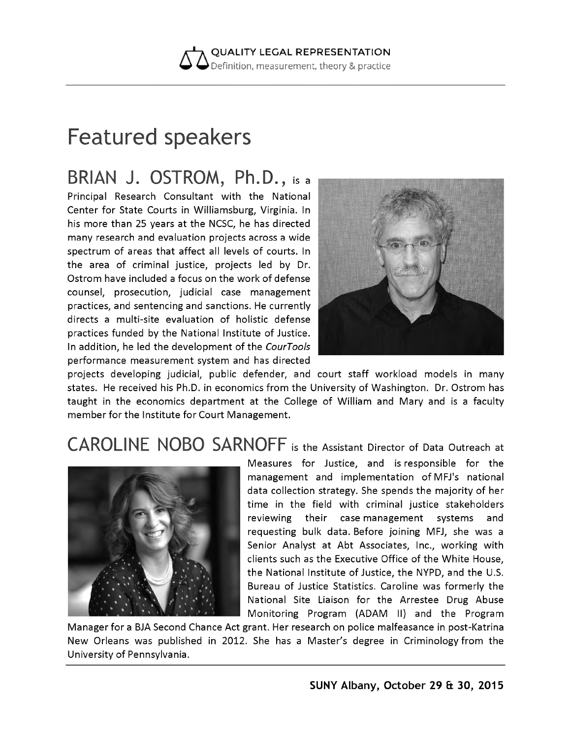**QUALITY LEGAL REPRESENTATION** Definition, measurement, theory & practice

## Featured speakers

BRIAN J. OSTROM, Ph.D., is a

Principal Research Consultant with the National Center for State Courts in Williamsburg, Virginia. In his more than 25 years at the NCSC, he has directed many research and evaluation projects across a wide spectrum of areas that affect all levels of courts. In the area of criminal justice, projects led by Dr. Ostrom have included a focus on the work of defense counsel, prosecution, judicial case management practices, and sentencing and sanctions. He currently directs a multi-site evaluation of holistic defense practices funded by the National Institute of Justice. In addition, he led the development of the *CourTools* performance measurement system and has directed



projects developing judicial, public defender, and court staff workload models in many states. He received his Ph.D. in economics from the University of Washington. Dr. Ostrom has taught in the economics department at the College of William and Mary and is a faculty member for the Institute for Court Management.

## CAROLINE NOBO SARNOFF is the Assistant Director of Data Outreach at



Measures for Justice, and is responsible for the management and implementation of MFJ's national data collection strategy. She spends the majority of her time in the field with criminal justice stakeholders reviewing their case management systems and requesting bulk data. Before joining MFJ, she was a Senior Analyst at Abt Associates, Inc., working with clients such as the Executive Office of the White House, the National Institute of Justice, the NYPD, and the U.S. Bureau of Justice Statistics. Caroline was formerly the National Site Liaison for the Arrestee Drug Abuse Monitoring Program (ADAM II) and the Program

Manager for a BJA Second Chance Act grant. Her research on police malfeasance in post-Katrina New Orleans was published in 2012. She has a Master's degree in Criminology from the University of Pennsylvania.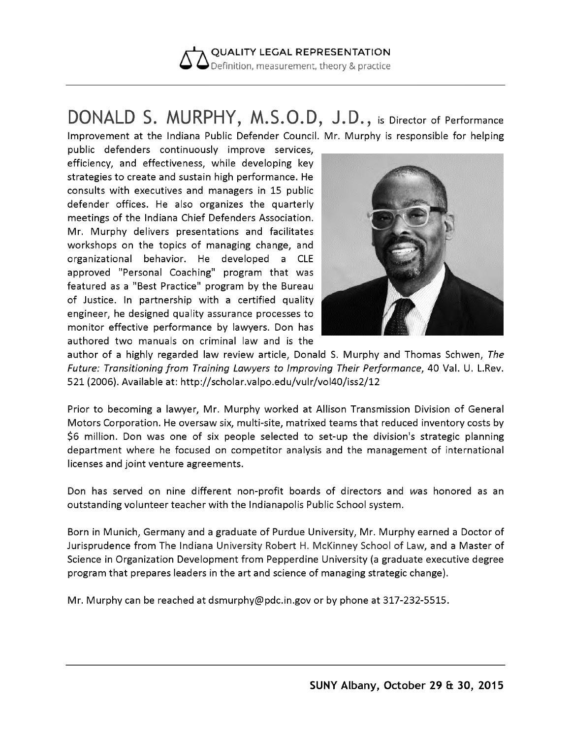

## DONALD S. MURPHY, M.S.O.D, J.D ., is Director of Performance Improvement at the Indiana Public Defender Council. Mr. Murphy is responsible for helping

public defenders continuously improve services, efficiency, and effectiveness, while developing key strategies to create and sustain high performance. He consults with executives and managers in 15 public defender offices. He also organizes the quarterly meetings of the Indiana Chief Defenders Association. Mr. Murphy delivers presentations and facilitates workshops on the topics of managing change, and organizational behavior. He developed a CLE approved "Personal Coaching" program that was featured as a "Best Practice" program by the Bureau of Justice. In partnership with a certified quality engineer, he designed quality assurance processes to monitor effective performance by lawyers. Don has authored two manuals on criminal law and is the



author of a highly regarded law review article, Donald S. Murphy and Thomas Schwen, *The Future: Transitioning from Training Lawyers to Improving Their Performance,* 40 Val. U. L.Rev. 521 (2006). Available at: <http://scholar.valpo.edu/vulr/vol40/iss2/12>

Prior to becoming a lawyer, Mr. Murphy worked at Allison Transmission Division of General Motors Corporation. He oversaw six, multi-site, matrixed teams that reduced inventory costs by \$6 million. Don was one of six people selected to set-up the division's strategic planning department where he focused on competitor analysis and the management of international licenses and joint venture agreements.

Don has served on nine different non-profit boards of directors and was honored as an outstanding volunteer teacher with the Indianapolis Public School system.

Born in Munich, Germany and a graduate of Purdue University, Mr. Murphy earned a Doctor of Jurisprudence from The Indiana University Robert H. McKinney School of Law, and a Master of Science in Organization Development from Pepperdine University (a graduate executive degree program that prepares leaders in the art and science of managing strategic change).

Mr. Murphy can be reached at [dsmurphy@pdc.in.gov](mailto:dsmurphy@pdc.in.gov) or by phone at 317-232-5515.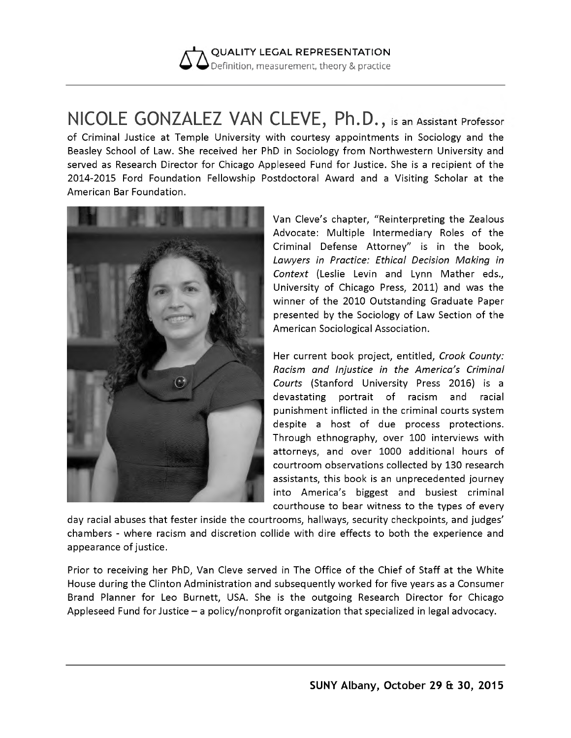

NICOLE GONZALEZ VAN CLEVE, Ph.D., is an Assistant Professor of Criminal Justice at Temple University with courtesy appointments in Sociology and the Beasley School of Law. She received her PhD in Sociology from Northwestern University and served as Research Director for Chicago Appleseed Fund for Justice. She is a recipient of the 2014-2015 Ford Foundation Fellowship Postdoctoral Award and a Visiting Scholar at the American Bar Foundation.



Van Cleve's chapter, "Reinterpreting the Zealous Advocate: Multiple Intermediary Roles of the Criminal Defense Attorney" is in the book, *Lawyers in Practice: Ethical Decision Making in Context* (Leslie Levin and Lynn Mather eds., University of Chicago Press, 2011) and was the winner of the 2010 Outstanding Graduate Paper presented by the Sociology of Law Section of the American Sociological Association.

Her current book project, entitled, *Crook County: Racism and Injustice in the America's Criminal Courts* (Stanford University Press 2016) is a devastating portrait of racism and racial punishment inflicted in the criminal courts system despite a host of due process protections. Through ethnography, over 100 interviews with attorneys, and over 1000 additional hours of courtroom observations collected by 130 research assistants, this book is an unprecedented journey into America's biggest and busiest criminal courthouse to bear witness to the types of every

day racial abuses that fester inside the courtrooms, hallways, security checkpoints, and judges' chambers - where racism and discretion collide with dire effects to both the experience and appearance of justice.

Prior to receiving her PhD, Van Cleve served in The Office of the Chief of Staff at the White House during the Clinton Administration and subsequently worked for five years as a Consumer Brand Planner for Leo Burnett, USA. She is the outgoing Research Director for Chicago Appleseed Fund for Justice - a policy/nonprofit organization that specialized in legal advocacy.